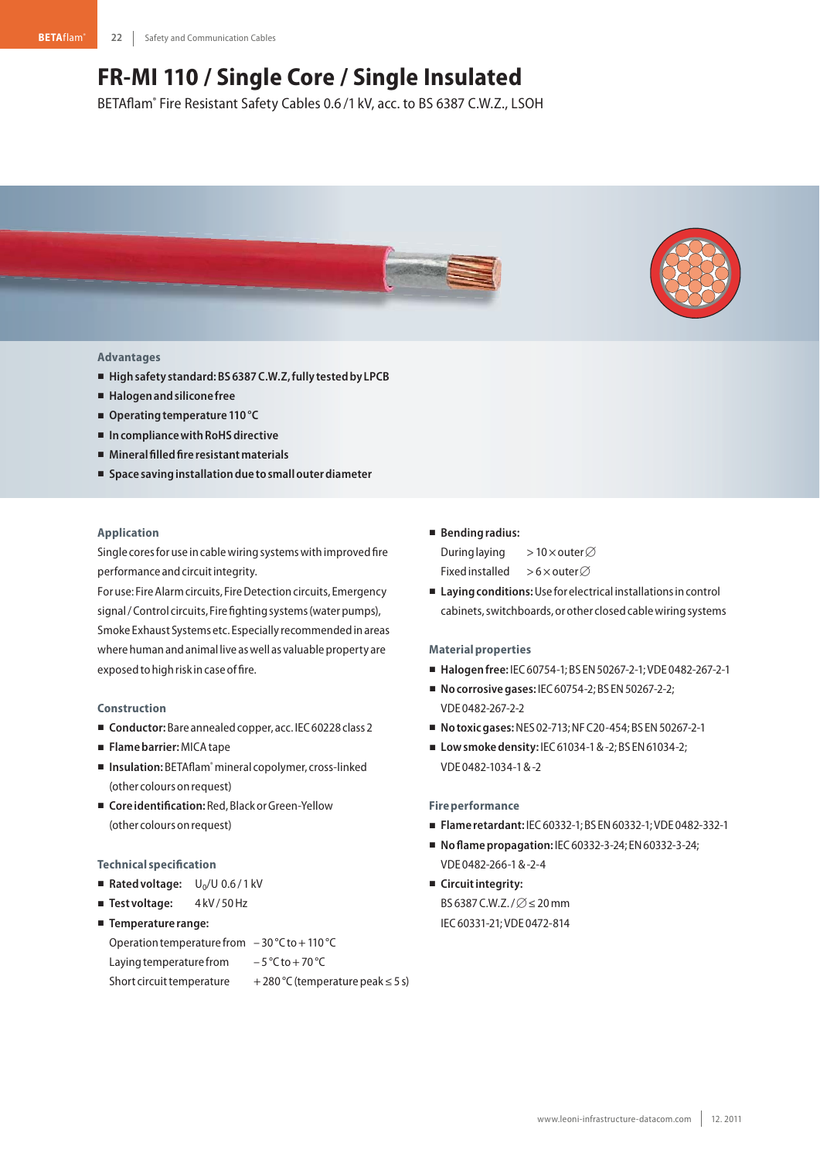# **FR-MI 110 / Single Core / Single Insulated**

BETAflam® Fire Resistant Safety Cables 0.6 /1 kV, acc. to BS 6387 C.W.Z., LSOH



## **Advantages**

- **Highsafety standard:BS6387C.W.Z,fully testedby LPCB**
- **Halogenandsilicone free**
- Operating temperature 110 °C
- In compliance with RoHS directive
- **Mineralfilledfire resistantmaterials**
- **Space savinginstallationdue tosmallouterdiameter**

## **Application**

Single cores for use in cable wiring systems with improved fire performance and circuit integrity.

For use: Fire Alarm circuits, Fire Detection circuits, Emergency signal / Control circuits, Fire fighting systems (water pumps), Smoke Exhaust Systems etc. Especially recommendedinareas where human and animal live as well as valuable property are exposed to high risk in case of fire.

#### **Construction**

- Conductor: Bare annealed copper, acc. IEC 60228 class 2
- **Flamebarrier:**MICAtape
- Insulation: BETAflam<sup>®</sup> mineral copolymer, cross-linked (other colours on request)
- Coreidentification: Red, Black or Green-Yellow (other colours onrequest)

#### **Technical specification**

- Rated voltage: U<sub>0</sub>/U 0.6/1 kV
- Test voltage: 4kV/50Hz
- **Temperature range:**
- Operation temperature from  $-30^{\circ}$ C to + 110 °C Laying temperature from  $-5^{\circ}$ C to + 70 °C Short circuit temperature  $+280$  °C (temperature peak  $\leq 5$  s)

# - **Bendingradius:**

During laying >10 $\times$ outer $\varnothing$ Fixed installed >6 $\times$ outer $\varnothing$ 

■ Laying conditions: Use for electrical installations in control cabinets, switchboards, or other closed cable wiring systems

#### **Materialproperties**

- **Halogenfree:** IEC60754-1;BS EN50267-2-1;VDE 0482-267-2-1
- **No corrosive gases: IEC 60754-2; BS EN 50267-2-2;** VDE 0482-267-2-2
- **Notoxicgases:**NES 02-713;NFC20-454;BS EN50267-2-1
- **Lowsmokedensity:** IEC61034-1&-2;BS EN61034-2; VDE 0482-1034-1&-2

# **Fire performance**

- **Flame retardant:** IEC60332-1;BS EN60332-1;VDE 0482-332-1
- **Noflamepropagation:** IEC60332-3-24; EN60332-3-24; VDE 0482-266-1&-2-4
- **E** Circuit integrity: BS 6387 C.W.Z. /  $\varnothing$   $\leq$  20 mm IEC60331-21;VDE 0472-814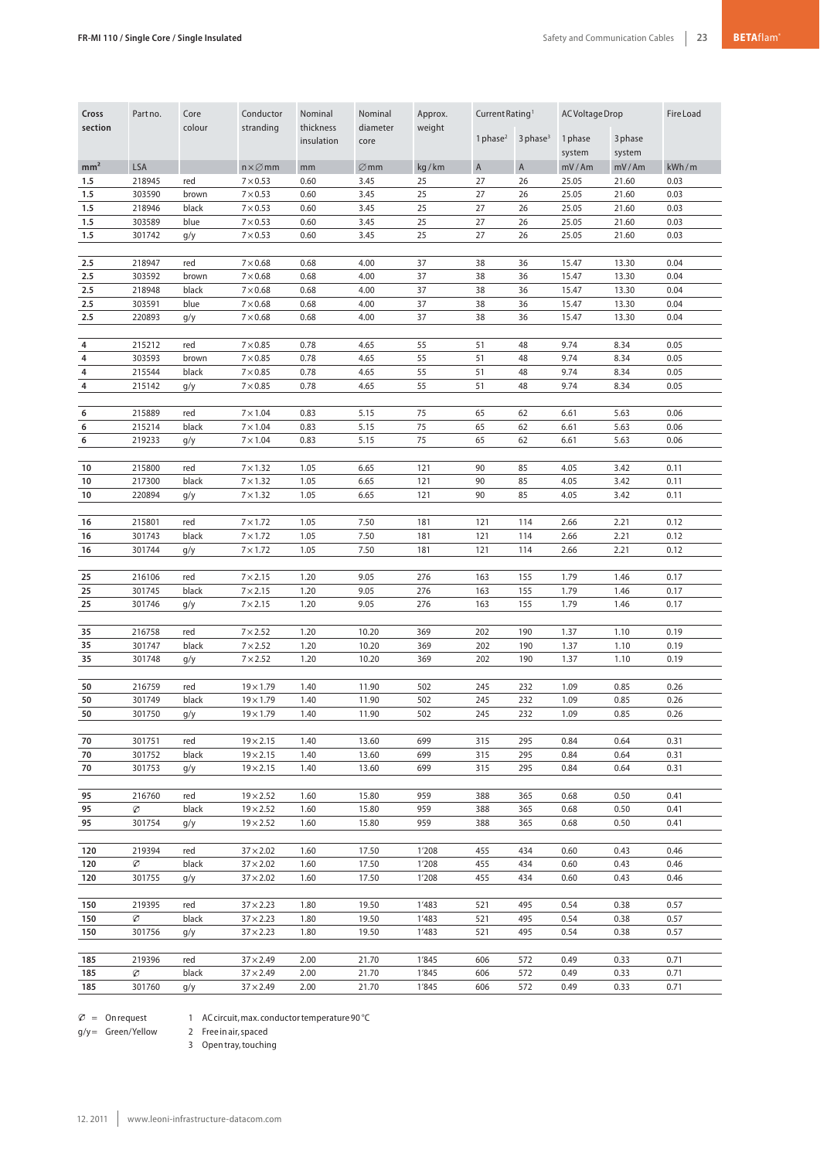| Cross<br>section | Part no.   | Core<br>colour | Conductor<br>stranding    | Nominal<br>thickness | Nominal<br>diameter | Approx.<br>weight | Current Rating <sup>1</sup> |                        | AC Voltage Drop |         | Fire Load |
|------------------|------------|----------------|---------------------------|----------------------|---------------------|-------------------|-----------------------------|------------------------|-----------------|---------|-----------|
|                  |            |                |                           | insulation           | core                |                   | 1 phase $2$                 | $3$ phase <sup>3</sup> | 1 phase         | 3 phase |           |
|                  |            |                |                           |                      |                     |                   |                             |                        | system          | system  |           |
| mm <sup>2</sup>  | <b>LSA</b> |                | $n \times \varnothing$ mm | mm                   | $\varnothing$ mm    | kg/km             | $\overline{A}$              | $\overline{A}$         | mV/Am           | mV/Am   | kWh/m     |
| 1.5              | 218945     | red            | $7 \times 0.53$           | 0.60                 | 3.45                | 25                | 27                          | 26                     | 25.05           | 21.60   | 0.03      |
| 1.5              | 303590     | brown          | $7 \times 0.53$           | 0.60                 | 3.45                | 25                | 27                          | 26                     | 25.05           | 21.60   | 0.03      |
| 1.5              | 218946     | black          | $7\times 0.53$            | 0.60                 | 3.45                | 25                | 27                          | 26                     | 25.05           | 21.60   | 0.03      |
| 1.5              | 303589     | blue           | $7\times 0.53$            | 0.60                 | 3.45                | 25                | 27                          | 26                     | 25.05           | 21.60   | 0.03      |
| 1.5              | 301742     | g/y            | $7 \times 0.53$           | 0.60                 | 3.45                | 25                | 27                          | 26                     | 25.05           | 21.60   | 0.03      |
| 2.5              | 218947     | red            | $7\times0.68$             | 0.68                 | 4.00                | 37                | 38                          | 36                     | 15.47           | 13.30   | 0.04      |
| 2.5              | 303592     | brown          | $7\times0.68$             | 0.68                 | 4.00                | 37                | 38                          | 36                     | 15.47           | 13.30   | 0.04      |
| 2.5              | 218948     | black          | $7\times0.68$             | 0.68                 | 4.00                | 37                | 38                          | 36                     | 15.47           | 13.30   | 0.04      |
| 2.5              | 303591     | blue           | $7\times0.68$             | 0.68                 | 4.00                | 37                | 38                          | 36                     | 15.47           | 13.30   | 0.04      |
| 2.5              | 220893     | g/y            | $7\times0.68$             | 0.68                 | 4.00                | 37                | 38                          | 36                     | 15.47           | 13.30   | 0.04      |
| 4                | 215212     | red            | $7 \times 0.85$           | 0.78                 | 4.65                | 55                | 51                          | 48                     | 9.74            | 8.34    | 0.05      |
| 4                | 303593     | brown          | $7\times 0.85$            | 0.78                 | 4.65                | 55                | 51                          | 48                     | 9.74            | 8.34    | 0.05      |
| 4                | 215544     | black          | $7\times0.85$             | 0.78                 | 4.65                | 55                | 51                          | 48                     | 9.74            | 8.34    | 0.05      |
| 4                | 215142     | g/y            | $7\times0.85$             | 0.78                 | 4.65                | 55                | 51                          | 48                     | 9.74            | 8.34    | 0.05      |
| 6                | 215889     | red            | $7 \times 1.04$           | 0.83                 | 5.15                | 75                | 65                          | 62                     | 6.61            | 5.63    | 0.06      |
| 6                | 215214     | black          | $7 \times 1.04$           | 0.83                 | 5.15                | 75                | 65                          | 62                     | 6.61            | 5.63    | 0.06      |
| 6                | 219233     | g/y            | $7 \times 1.04$           | 0.83                 | 5.15                | 75                | 65                          | 62                     | 6.61            | 5.63    | 0.06      |
|                  |            |                |                           |                      |                     |                   |                             |                        |                 |         |           |
| 10               | 215800     | red            | $7 \times 1.32$           | 1.05                 | 6.65                | 121               | 90                          | 85                     | 4.05            | 3.42    | 0.11      |
| 10               | 217300     | black          | $7 \times 1.32$           | 1.05                 | 6.65                | 121               | 90                          | 85                     | 4.05            | 3.42    | 0.11      |
| 10               | 220894     | g/y            | $7 \times 1.32$           | 1.05                 | 6.65                | 121               | 90                          | 85                     | 4.05            | 3.42    | 0.11      |
| 16               | 215801     | red            | $7 \times 1.72$           | 1.05                 | 7.50                | 181               | 121                         | 114                    | 2.66            | 2.21    | 0.12      |
| 16               | 301743     | black          | $7 \times 1.72$           | 1.05                 | 7.50                | 181               | 121                         | 114                    | 2.66            | 2.21    | 0.12      |
| 16               | 301744     | g/y            | $7 \times 1.72$           | 1.05                 | 7.50                | 181               | 121                         | 114                    | 2.66            | 2.21    | 0.12      |
|                  |            |                |                           |                      |                     |                   |                             |                        |                 |         |           |
| 25               | 216106     | red            | $7 \times 2.15$           | 1.20                 | 9.05                | 276               | 163                         | 155                    | 1.79            | 1.46    | 0.17      |
| 25               | 301745     | black          | $7 \times 2.15$           | 1.20                 | 9.05                | 276               | 163                         | 155                    | 1.79            | 1.46    | 0.17      |
| 25               | 301746     | g/y            | $7 \times 2.15$           | 1.20                 | 9.05                | 276               | 163                         | 155                    | 1.79            | 1.46    | 0.17      |
| 35               | 216758     | red            | $7 \times 2.52$           | 1.20                 | 10.20               | 369               | 202                         | 190                    | 1.37            | 1.10    | 0.19      |
| 35               | 301747     | black          | $7 \times 2.52$           | 1.20                 | 10.20               | 369               | 202                         | 190                    | 1.37            | 1.10    | 0.19      |
| 35               | 301748     | g/y            | $7 \times 2.52$           | 1.20                 | 10.20               | 369               | 202                         | 190                    | 1.37            | 1.10    | 0.19      |
| 50               | 216759     | red            | $19 \times 1.79$          | 1.40                 | 11.90               | 502               | 245                         | 232                    | 1.09            | 0.85    | 0.26      |
| 50               | 301749     | black          | $19 \times 1.79$          | 1.40                 | 11.90               | 502               | 245                         | 232                    | 1.09            | 0.85    | 0.26      |
| 50               | 301750     | g/y            | $19 \times 1.79$          | 1.40                 | 11.90               | 502               | 245                         | 232                    | 1.09            | 0.85    | 0.26      |
| 70               | 301751     | red            | $19 \times 2.15$          | 1.40                 | 13.60               | 699               | 315                         | 295                    | 0.84            | 0.64    | 0.31      |
| 70               | 301752     | black          | $19\times2.15$            | 1.40                 | 13.60               | 699               | 315                         | 295                    | 0.84            | 0.64    | 0.31      |
| 70               | 301753     | g/y            | $19\times2.15$            | 1.40                 | 13.60               | 699               | 315                         | 295                    | 0.84            | 0.64    | 0.31      |
|                  |            |                |                           |                      |                     |                   |                             |                        |                 |         |           |
| 95               | 216760     | red            | $19 \times 2.52$          | 1.60                 | 15.80               | 959               | 388                         | 365                    | 0.68            | 0.50    | 0.41      |
| 95               | Ø          | black          | $19 \times 2.52$          | 1.60                 | 15.80               | 959               | 388                         | 365                    | 0.68            | 0.50    | 0.41      |
| 95               | 301754     | g/y            | $19\times2.52$            | 1.60                 | 15.80               | 959               | 388                         | 365                    | 0.68            | 0.50    | 0.41      |
| 120              | 219394     | red            | $37 \times 2.02$          | 1.60                 | 17.50               | 1'208             | 455                         | 434                    | 0.60            | 0.43    | 0.46      |
| 120              | Ø          | black          | $37 \times 2.02$          | 1.60                 | 17.50               | 1'208             | 455                         | 434                    | 0.60            | 0.43    | 0.46      |
| 120              | 301755     | g/y            | $37 \times 2.02$          | 1.60                 | 17.50               | 1'208             | 455                         | 434                    | 0.60            | 0.43    | 0.46      |
| 150              | 219395     | red            | $37 \times 2.23$          | 1.80                 | 19.50               | 1'483             | 521                         | 495                    | 0.54            | 0.38    | 0.57      |
| 150              | Ø          | black          | $37 \times 2.23$          | 1.80                 | 19.50               | 1'483             | 521                         | 495                    | 0.54            | 0.38    | 0.57      |
| 150              | 301756     | g/y            | $37 \times 2.23$          | 1.80                 | 19.50               | 1'483             | 521                         | 495                    | 0.54            | 0.38    | 0.57      |
|                  |            |                |                           |                      |                     |                   |                             |                        |                 |         |           |
| 185              | 219396     | red            | $37 \times 2.49$          | 2.00                 | 21.70               | 1'845             | 606                         | 572                    | 0.49            | 0.33    | 0.71      |
| 185              | Ø          | black          | $37 \times 2.49$          | 2.00                 | 21.70               | 1'845             | 606                         | 572                    | 0.49            | 0.33    | 0.71      |
| 185              | 301760     | g/y            | $37 \times 2.49$          | 2.00                 | 21.70               | 1'845             | 606                         | 572                    | 0.49            | 0.33    | 0.71      |

 $\varnothing$  = Onrequest

g/y = Green/Yellow 2 Free in air, spaced

3 Opentray,touching

1 AC circuit, max. conductor temperature 90 °C